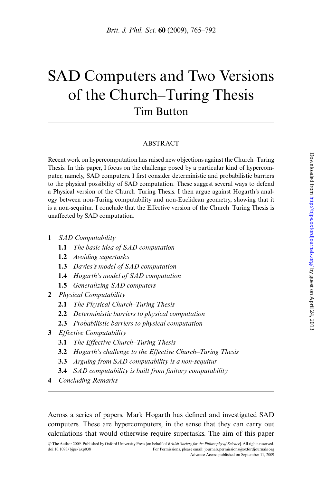# SAD Computers and Two Versions of the Church–Turing Thesis Tim Button

#### ABSTRACT

Recent work on hypercomputation has raised new objections against the Church–Turing Thesis. In this paper, I focus on the challenge posed by a particular kind of hypercomputer, namely, SAD computers. I first consider deterministic and probabilistic barriers to the physical possibility of SAD computation. These suggest several ways to defend a Physical version of the Church–Turing Thesis. I then argue against Hogarth's analogy between non-Turing computability and non-Euclidean geometry, showing that it is a non-sequitur. I conclude that the Effective version of the Church–Turing Thesis is unaffected by SAD computation.

- **1** *SAD Computability*
	- **1.1** *The basic idea of SAD computation*
	- **1.2** *Avoiding supertasks*
	- **1.3** *Davies's model of SAD computation*
	- **1.4** *Hogarth's model of SAD computation*
	- **1.5** *Generalizing SAD computers*
- **2** *Physical Computability*
	- **2.1** *The Physical Church–Turing Thesis*
	- **2.2** *Deterministic barriers to physical computation*
	- **2.3** *Probabilistic barriers to physical computation*
- **3** *Effective Computability*
	- **3.1** *The Effective Church–Turing Thesis*
	- **3.2** *Hogarth's challenge to the Effective Church–Turing Thesis*
	- **3.3** *Arguing from SAD computability is a non-sequitur*
	- **3.4** *SAD computability is built from finitary computability*
- **4** *Concluding Remarks*

Across a series of papers, Mark Hogarth has defined and investigated SAD computers. These are hypercomputers, in the sense that they can carry out calculations that would otherwise require supertasks. The aim of this paper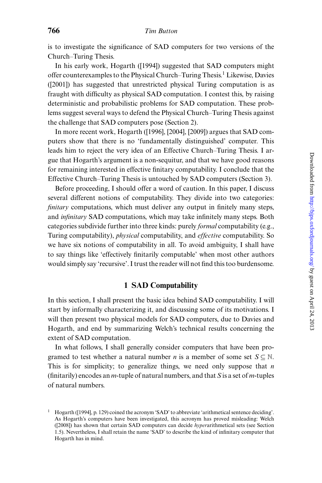is to investigate the significance of SAD computers for two versions of the Church–Turing Thesis.

In his early work, Hogarth ([1994]) suggested that SAD computers might offer counterexamples to the Physical Church–Turing Thesis.<sup>1</sup> Likewise, Davies ([2001]) has suggested that unrestricted physical Turing computation is as fraught with difficulty as physical SAD computation. I contest this, by raising deterministic and probabilistic problems for SAD computation. These problems suggest several ways to defend the Physical Church–Turing Thesis against the challenge that SAD computers pose (Section 2).

In more recent work, Hogarth ([1996], [2004], [2009]) argues that SAD computers show that there is no 'fundamentally distinguished' computer. This leads him to reject the very idea of an Effective Church–Turing Thesis. I argue that Hogarth's argument is a non-sequitur, and that we have good reasons for remaining interested in effective finitary computability. I conclude that the Effective Church–Turing Thesis is untouched by SAD computers (Section 3).

Before proceeding, I should offer a word of caution. In this paper, I discuss several different notions of computability. They divide into two categories: *finitary* computations, which must deliver any output in finitely many steps, and *infinitary* SAD computations, which may take infinitely many steps. Both categories subdivide further into three kinds: purely *formal* computability (e.g., Turing computability), *physical* computability, and *effective* computability. So we have six notions of computability in all. To avoid ambiguity, I shall have to say things like 'effectively finitarily computable' when most other authors would simply say 'recursive'. I trust the reader will not find this too burdensome.

## **1 SAD Computability**

In this section, I shall present the basic idea behind SAD computability. I will start by informally characterizing it, and discussing some of its motivations. I will then present two physical models for SAD computers, due to Davies and Hogarth, and end by summarizing Welch's technical results concerning the extent of SAD computation.

In what follows, I shall generally consider computers that have been programed to test whether a natural number *n* is a member of some set  $S \subseteq \mathbb{N}$ . This is for simplicity; to generalize things, we need only suppose that *n* (finitarily) encodes an *m*-tuple of natural numbers, and that *S* is a set of *m*-tuples of natural numbers.

<sup>1</sup> Hogarth ([1994], p. 129) coined the acronym 'SAD' to abbreviate 'arithmetical sentence deciding'. As Hogarth's computers have been investigated, this acronym has proved misleading: Welch ([2008]) has shown that certain SAD computers can decide *hyper*arithmetical sets (see Section 1.5). Nevertheless, I shall retain the name 'SAD' to describe the kind of infinitary computer that Hogarth has in mind.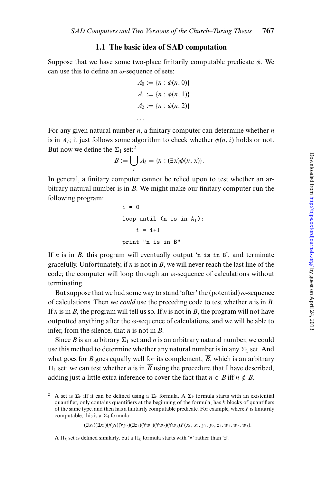#### **1.1 The basic idea of SAD computation**

Suppose that we have some two-place finitarily computable predicate  $\phi$ . We can use this to define an  $\omega$ -sequence of sets:

$$
A_0 := \{ n : \phi(n, 0) \}
$$
  
\n
$$
A_1 := \{ n : \phi(n, 1) \}
$$
  
\n
$$
A_2 := \{ n : \phi(n, 2) \}
$$
  
\n...

For any given natural number *n*, a finitary computer can determine whether *n* is in  $A_i$ ; it just follows some algorithm to check whether  $\phi(n, i)$  holds or not. But now we define the  $\Sigma_1$  set:<sup>2</sup>

$$
B:=\bigcup_i A_i=\{n:(\exists x)\phi(n,x)\}.
$$

In general, a finitary computer cannot be relied upon to test whether an arbitrary natural number is in *B*. We might make our finitary computer run the following program:

$$
i = 0
$$
  
loop until (n is in A<sub>i</sub>):  

$$
i = i+1
$$
  
print "n is in B"

If  $n$  is in  $B$ , this program will eventually output 'n is in  $B'$ , and terminate gracefully. Unfortunately, if *n* is not in *B*, we will never reach the last line of the code; the computer will loop through an  $\omega$ -sequence of calculations without terminating.

But suppose that we had some way to stand 'after' the (potential)  $\omega$ -sequence of calculations. Then we *could* use the preceding code to test whether *n* is in *B*. If *n* is in *B*, the program will tell us so. If *n* is not in *B*, the program will not have outputted anything after the  $\omega$ -sequence of calculations, and we will be able to infer, from the silence, that *n* is not in *B*.

Since *B* is an arbitrary  $\Sigma_1$  set and *n* is an arbitrary natural number, we could use this method to determine whether any natural number is in any  $\Sigma_1$  set. And what goes for *B* goes equally well for its complement,  $\overline{B}$ , which is an arbitrary  $\Pi_1$  set: we can test whether *n* is in  $\overline{B}$  using the procedure that I have described, adding just a little extra inference to cover the fact that  $n \in B$  iff  $n \notin \overline{B}$ .

 $(\exists x_1)(\exists x_2)(\forall y_1)(\forall y_2)(\exists z_1)(\forall w_1)(\forall w_2)(\forall w_3)F(x_1, x_2, y_1, y_2, z_1, w_1, w_2, w_3).$ 

A  $\Pi_k$  set is defined similarly, but a  $\Pi_k$  formula starts with '∀' rather than '∃'.

<sup>&</sup>lt;sup>2</sup> A set is  $\Sigma_k$  iff it can be defined using a  $\Sigma_k$  formula. A  $\Sigma_k$  formula starts with an existential quantifier, only contains quantifiers at the beginning of the formula, has *k* blocks of quantifiers of the same type, and then has a finitarily computable predicate. For example, where *F* is finitarily computable, this is a  $\Sigma_4$  formula: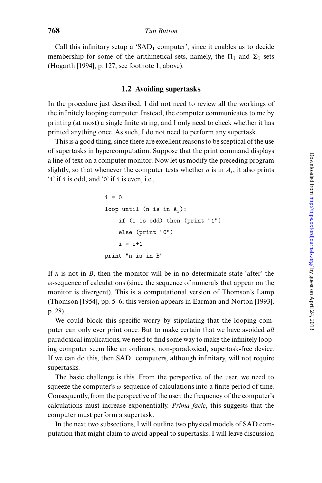Call this infinitary setup a 'SAD<sub>1</sub> computer', since it enables us to decide membership for some of the arithmetical sets, namely, the  $\Pi_1$  and  $\Sigma_1$  sets (Hogarth [1994], p. 127; see footnote 1, above).

## **1.2 Avoiding supertasks**

In the procedure just described, I did not need to review all the workings of the infinitely looping computer. Instead, the computer communicates to me by printing (at most) a single finite string, and I only need to check whether it has printed anything once. As such, I do not need to perform any supertask.

This is a good thing, since there are excellent reasons to be sceptical of the use of supertasks in hypercomputation. Suppose that the print command displays a line of text on a computer monitor. Now let us modify the preceding program slightly, so that whenever the computer tests whether  $n$  is in  $A_i$ , it also prints '1' if i is odd, and '0' if i is even, i.e.,

```
i = 0loop until (n is in A_i):
if (i is odd) then (print "1")
else (print "0")
i = i+1print "n is in B"
```
If *n* is not in *B*, then the monitor will be in no determinate state 'after' the  $\omega$ -sequence of calculations (since the sequence of numerals that appear on the monitor is divergent). This is a computational version of Thomson's Lamp (Thomson [1954], pp. 5–6; this version appears in Earman and Norton [1993], p. 28).

We could block this specific worry by stipulating that the looping computer can only ever print once. But to make certain that we have avoided *all* paradoxical implications, we need to find some way to make the infinitely looping computer seem like an ordinary, non-paradoxical, supertask-free device. If we can do this, then  $SAD_1$  computers, although infinitary, will not require supertasks.

The basic challenge is this. From the perspective of the user, we need to squeeze the computer's  $\omega$ -sequence of calculations into a finite period of time. Consequently, from the perspective of the user, the frequency of the computer's calculations must increase exponentially. *Prima facie*, this suggests that the computer must perform a supertask.

In the next two subsections, I will outline two physical models of SAD computation that might claim to avoid appeal to supertasks. I will leave discussion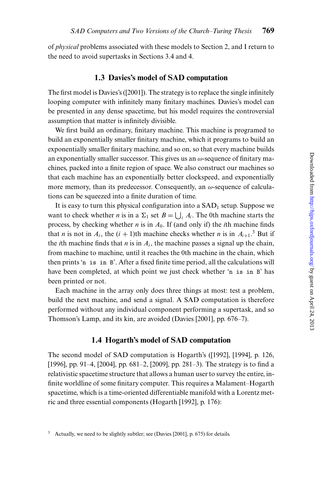of *physical* problems associated with these models to Section 2, and I return to the need to avoid supertasks in Sections 3.4 and 4.

#### **1.3 Davies's model of SAD computation**

The first model is Davies's ([2001]). The strategy is to replace the single infinitely looping computer with infinitely many finitary machines. Davies's model can be presented in any dense spacetime, but his model requires the controversial assumption that matter is infinitely divisible.

We first build an ordinary, finitary machine. This machine is programed to build an exponentially smaller finitary machine, which it programs to build an exponentially smaller finitary machine, and so on, so that every machine builds an exponentially smaller successor. This gives us an  $\omega$ -sequence of finitary machines, packed into a finite region of space. We also construct our machines so that each machine has an exponentially better clockspeed, and exponentially more memory, than its predecessor. Consequently, an  $\omega$ -sequence of calculations can be squeezed into a finite duration of time.

It is easy to turn this physical configuration into a  $SAD<sub>1</sub>$  setup. Suppose we want to check whether *n* is in a  $\Sigma_1$  set  $B = \bigcup_i A_i$ . The 0th machine starts the process, by checking whether *n* is in *A*0. If (and only if) the *i*th machine finds that *n* is not in  $A_i$ , the  $(i + 1)$ th machine checks whether *n* is in  $A_{i+1}$ <sup>3</sup>. But if the *i*th machine finds that *n* is in  $A_i$ , the machine passes a signal up the chain, from machine to machine, until it reaches the 0th machine in the chain, which then prints 'n is in B'. After a fixed finite time period, all the calculations will have been completed, at which point we just check whether 'n is in B' has been printed or not.

Each machine in the array only does three things at most: test a problem, build the next machine, and send a signal. A SAD computation is therefore performed without any individual component performing a supertask, and so Thomson's Lamp, and its kin, are avoided (Davies [2001], pp. 676–7).

#### **1.4 Hogarth's model of SAD computation**

The second model of SAD computation is Hogarth's ([1992], [1994], p. 126, [1996], pp. 91–4, [2004], pp. 681–2, [2009], pp. 281–3). The strategy is to find a relativistic spacetime structure that allows a human user to survey the entire, infinite worldline of some finitary computer. This requires a Malament–Hogarth spacetime, which is a time-oriented differentiable manifold with a Lorentz metric and three essential components (Hogarth [1992], p. 176):

<sup>&</sup>lt;sup>3</sup> Actually, we need to be slightly subtler; see (Davies [2001], p. 675) for details.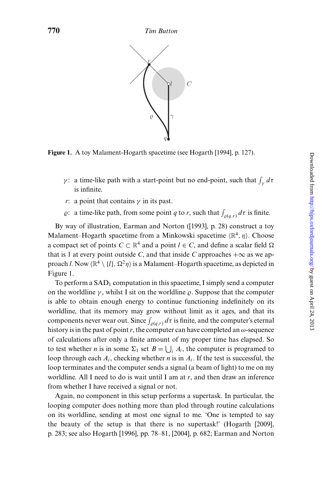

**Figure 1.** A toy Malament-Hogarth spacetime (see Hogarth [1994], p. 127).

- γ : a time-like path with a start-point but no end-point, such that <sup>γ</sup> *d*τ is infinite.
- *r*: a point that contains  $\gamma$  in its past.
- $\varrho$ : a time-like path, from some point *q* to *r*, such that  $\int_{\varrho(q,r)} d\tau$  is finite.

By way of illustration, Earman and Norton ([1993], p. 28) construct a toy Malament–Hogarth spacetime from a Minkowski spacetime  $\langle \mathbb{R}^4, \eta \rangle$ . Choose a compact set of points  $C \subset \mathbb{R}^4$  and a point  $l \in C$ , and define a scalar field  $\Omega$ that is 1 at every point outside *C*, and that inside *C* approaches  $+\infty$  as we approach *l*. Now  $\langle \mathbb{R}^4 \setminus \{l\}, \Omega^2 \eta \rangle$  is a Malament–Hogarth spacetime, as depicted in Figure 1.

To perform a  $SAD_1$  computation in this spacetime, I simply send a computer on the worldline  $\gamma$ , whilst I sit on the worldline  $\rho$ . Suppose that the computer is able to obtain enough energy to continue functioning indefinitely on its worldline, that its memory may grow without limit as it ages, and that its components never wear out. Since  $\int_{\varrho(q,r)} d\tau$  is finite, and the computer's eternal history is in the past of point  $r$ , the computer can have completed an  $\omega$ -sequence of calculations after only a finite amount of my proper time has elapsed. So to test whether *n* is in some  $\Sigma_1$  set  $B = \bigcup_i A_i$ , the computer is programed to loop through each  $A_i$ , checking whether *n* is in  $A_i$ . If the test is successful, the loop terminates and the computer sends a signal (a beam of light) to me on my worldline. All I need to do is wait until I am at *r*, and then draw an inference from whether I have received a signal or not.

Again, no component in this setup performs a supertask. In particular, the looping computer does nothing more than plod through routine calculations on its worldline, sending at most one signal to me. 'One is tempted to say the beauty of the setup is that there is no supertask!' (Hogarth [2009], p. 283; see also Hogarth [1996], pp. 78–81, [2004], p. 682; Earman and Norton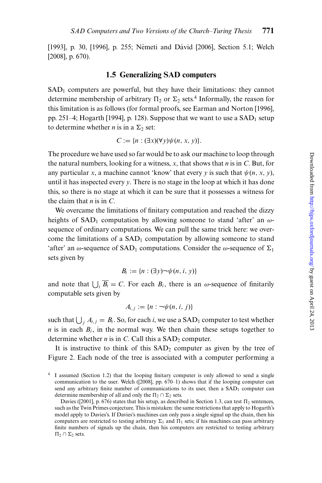[1993], p. 30, [1996], p. 255; Németi and Dávid [2006], Section 5.1; Welch [2008], p. 670).

#### **1.5 Generalizing SAD computers**

 $SAD<sub>1</sub>$  computers are powerful, but they have their limitations: they cannot determine membership of arbitrary  $\Pi_2$  or  $\Sigma_2$  sets.<sup>4</sup> Informally, the reason for this limitation is as follows (for formal proofs, see Earman and Norton [1996], pp. 251–4; Hogarth [1994], p. 128). Suppose that we want to use a  $SAD_1$  setup to determine whether *n* is in a  $\Sigma_2$  set:

$$
C := \{ n : (\exists x)(\forall y)\psi(n, x, y) \}.
$$

The procedure we have used so far would be to ask our machine to loop through the natural numbers, looking for a witness, *x*, that shows that *n* is in *C*. But, for any particular *x*, a machine cannot 'know' that every *y* is such that  $\psi(n, x, y)$ , until it has inspected every *y*. There is no stage in the loop at which it has done this, so there is no stage at which it can be sure that it possesses a witness for the claim that *n* is in *C*.

We overcame the limitations of finitary computation and reached the dizzy heights of SAD<sub>1</sub> computation by allowing someone to stand 'after' an  $\omega$ sequence of ordinary computations. We can pull the same trick here: we overcome the limitations of a  $SAD_1$  computation by allowing someone to stand 'after' an  $\omega$ -sequence of SAD<sub>1</sub> computations. Consider the  $\omega$ -sequence of  $\Sigma_1$ sets given by

$$
B_i := \{ n : (\exists y) \neg \psi(n, i, y) \}
$$

and note that  $\bigcup_i \overline{B_i} = C$ . For each  $B_i$ , there is an  $\omega$ -sequence of finitarily computable sets given by

$$
A_{i,j}:=\{n:\neg\psi(n,i,j)\}\
$$

such that  $\bigcup_{j} A_{i,j} = B_i.$  So, for each  $i$ , we use a  $SAD_1$  computer to test whether *n* is in each  $B_i$ , in the normal way. We then chain these setups together to determine whether  $n$  is in  $C$ . Call this a  $SAD_2$  computer.

It is instructive to think of this  $SAD<sub>2</sub>$  computer as given by the tree of Figure 2. Each node of the tree is associated with a computer performing a

<sup>4</sup> I assumed (Section 1.2) that the looping finitary computer is only allowed to send a single communication to the user. Welch ([2008], pp. 670–1) shows that if the looping computer can send any arbitrary finite number of communications to its user, then a  $SAD_1$  computer can determine membership of all and only the  $\Pi_2 \cap \Sigma_2$  sets.

Davies ([2001], p. 676) states that his setup, as described in Section 1.3, can test  $\Pi_2$  sentences, such as the Twin Primes conjecture. This is mistaken: the same restrictions that apply to Hogarth's model apply to Davies's. If Davies's machines can only pass a single signal up the chain, then his computers are restricted to testing arbitrary  $\Sigma_1$  and  $\Pi_1$  sets; if his machines can pass arbitrary finite numbers of signals up the chain, then his computers are restricted to testing arbitrary  $\Pi_2 \cap \Sigma_2$  sets.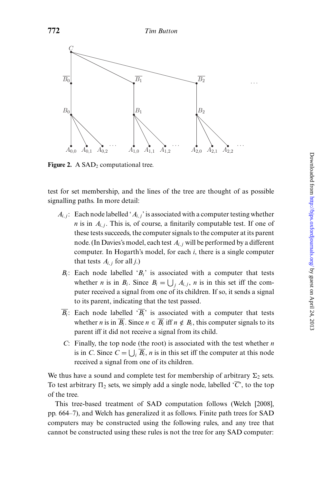

Figure 2. A SAD<sub>2</sub> computational tree.

test for set membership, and the lines of the tree are thought of as possible signalling paths. In more detail:

- $A_{i,j}$ : Each node labelled ' $A_{i,j}$ ' is associated with a computer testing whether *n* is in  $A_{i,j}$ . This is, of course, a finitarily computable test. If one of these tests succeeds, the computer signals to the computer at its parent node. (In Davies's model, each test *Ai*,*<sup>j</sup>* will be performed by a different computer. In Hogarth's model, for each *i*, there is a single computer that tests  $A_{i,j}$  for all *j*.)
	- $B_i$ : Each node labelled ' $B_i$ ' is associated with a computer that tests whether *n* is in  $B_i$ . Since  $B_i = \bigcup_j A_{i,j}$ , *n* is in this set iff the computer received a signal from one of its children. If so, it sends a signal to its parent, indicating that the test passed.
	- $\overline{B_i}$ : Each node labelled  $\overline{B_i}$  is associated with a computer that tests whether *n* is in  $\overline{B_i}$ . Since  $n \in \overline{B_i}$  iff  $n \notin B_i$ , this computer signals to its parent iff it did not receive a signal from its child.
	- *C*: Finally, the top node (the root) is associated with the test whether *n* is in *C*. Since  $C = \bigcup_i B_i$ , *n* is in this set iff the computer at this node received a signal from one of its children.

We thus have a sound and complete test for membership of arbitrary  $\Sigma_2$  sets. To test arbitrary  $\Pi_2$  sets, we simply add a single node, labelled  $\{C\}$ , to the top of the tree.

This tree-based treatment of SAD computation follows (Welch [2008], pp. 664–7), and Welch has generalized it as follows. Finite path trees for SAD computers may be constructed using the following rules, and any tree that cannot be constructed using these rules is not the tree for any SAD computer: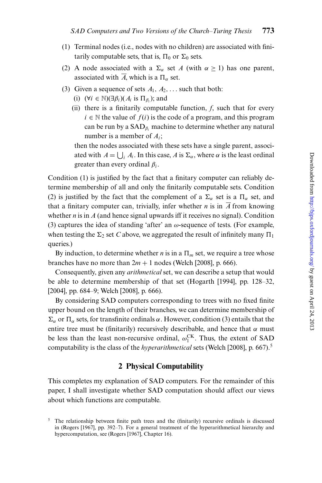- (1) Terminal nodes (i.e., nodes with no children) are associated with finitarily computable sets, that is,  $\Pi_0$  or  $\Sigma_0$  sets.
- (2) A node associated with a  $\Sigma_{\alpha}$  set *A* (with  $\alpha \ge 1$ ) has one parent, associated with  $\overline{A}$ , which is a  $\Pi_{\alpha}$  set.
- (3) Given a sequence of sets  $A_1, A_2, \ldots$  such that both:
	- (i)  $(\forall i \in \mathbb{N})(\exists \beta_i)(A_i \text{ is } \Pi_{\beta_i})$ ; and
	- (ii) there is a finitarily computable function,  $f$ , such that for every  $i \in \mathbb{N}$  the value of  $f(i)$  is the code of a program, and this program can be run by a SAD<sup>β</sup>*<sup>i</sup>* machine to determine whether any natural number is a member of *Ai* ;

then the nodes associated with these sets have a single parent, associated with  $A = \bigcup_i A_i$ . In this case,  $A$  is  $\Sigma_{\alpha}$ , where  $\alpha$  is the least ordinal greater than every ordinal  $\beta_i$ .

Condition (1) is justified by the fact that a finitary computer can reliably determine membership of all and only the finitarily computable sets. Condition (2) is justified by the fact that the complement of a  $\Sigma_{\alpha}$  set is a  $\Pi_{\alpha}$  set, and that a finitary computer can, trivially, infer whether *n* is in  $\overline{A}$  from knowing whether  $n$  is in  $A$  (and hence signal upwards iff it receives no signal). Condition (3) captures the idea of standing 'after' an  $\omega$ -sequence of tests. (For example, when testing the  $\Sigma_2$  set *C* above, we aggregated the result of infinitely many  $\Pi_1$ queries.)

By induction, to determine whether *n* is in a  $\Pi_m$  set, we require a tree whose branches have no more than  $2m + 1$  nodes (Welch [2008], p. 666).

Consequently, given any *arithmetical* set, we can describe a setup that would be able to determine membership of that set (Hogarth [1994], pp. 128–32, [2004], pp. 684–9; Welch [2008], p. 666).

By considering SAD computers corresponding to trees with no fixed finite upper bound on the length of their branches, we can determine membership of  $\Sigma_{\alpha}$  or  $\Pi_{\alpha}$  sets, for transfinite ordinals  $\alpha$ . However, condition (3) entails that the entire tree must be (finitarily) recursively describable, and hence that  $\alpha$  must be less than the least non-recursive ordinal,  $\omega_1^{\text{CK}}$ . Thus, the extent of SAD computability is the class of the *hyperarithmetical* sets (Welch [2008], p. 667).5

# **2 Physical Computability**

This completes my explanation of SAD computers. For the remainder of this paper, I shall investigate whether SAD computation should affect our views about which functions are computable.

<sup>&</sup>lt;sup>5</sup> The relationship between finite path trees and the (finitarily) recursive ordinals is discussed in (Rogers [1967], pp. 392–7). For a general treatment of the hyperarithmetical hierarchy and hypercomputation, see (Rogers [1967], Chapter 16).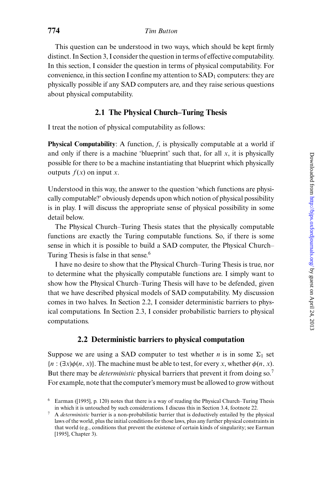This question can be understood in two ways, which should be kept firmly distinct. In Section 3, I consider the question in terms of effective computability. In this section, I consider the question in terms of physical computability. For convenience, in this section I confine my attention to  $SAD_1$  computers: they are physically possible if any SAD computers are, and they raise serious questions about physical computability.

# **2.1 The Physical Church–Turing Thesis**

I treat the notion of physical computability as follows:

**Physical Computability:** A function, *f*, is physically computable at a world if and only if there is a machine 'blueprint' such that, for all  $x$ , it is physically possible for there to be a machine instantiating that blueprint which physically outputs  $f(x)$  on input *x*.

Understood in this way, the answer to the question 'which functions are physically computable?' obviously depends upon which notion of physical possibility is in play. I will discuss the appropriate sense of physical possibility in some detail below.

The Physical Church–Turing Thesis states that the physically computable functions are exactly the Turing computable functions. So, if there is some sense in which it is possible to build a SAD computer, the Physical Church– Turing Thesis is false in that sense.<sup>6</sup>

I have no desire to show that the Physical Church–Turing Thesis is true, nor to determine what the physically computable functions are. I simply want to show how the Physical Church–Turing Thesis will have to be defended, given that we have described physical models of SAD computability. My discussion comes in two halves. In Section 2.2, I consider deterministic barriers to physical computations. In Section 2.3, I consider probabilistic barriers to physical computations.

# **2.2 Deterministic barriers to physical computation**

Suppose we are using a SAD computer to test whether *n* is in some  $\Sigma_1$  set  ${n : (\exists x) \phi(n, x)}$ . The machine must be able to test, for every *x*, whether  $\phi(n, x)$ . But there may be *deterministic* physical barriers that prevent it from doing so.<sup>7</sup> For example, note that the computer's memory must be allowed to grow without

<sup>6</sup> Earman ([1995], p. 120) notes that there is a way of reading the Physical Church–Turing Thesis in which it is untouched by such considerations. I discuss this in Section 3.4, footnote 22.

<sup>7</sup> A *deterministic* barrier is a non-probabilistic barrier that is deductively entailed by the physical laws of the world, plus the initial conditions for those laws, plus any further physical constraints in that world (e.g., conditions that prevent the existence of certain kinds of singularity; see Earman [1995], Chapter 3).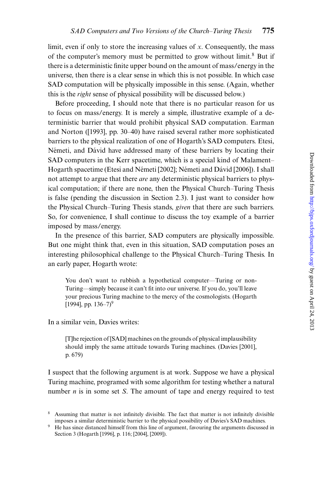limit, even if only to store the increasing values of *x*. Consequently, the mass of the computer's memory must be permitted to grow without limit.<sup>8</sup> But if there is a deterministic finite upper bound on the amount of mass/energy in the universe, then there is a clear sense in which this is not possible. In which case SAD computation will be physically impossible in this sense. (Again, whether this is the *right* sense of physical possibility will be discussed below.)

Before proceeding, I should note that there is no particular reason for us to focus on mass/energy. It is merely a simple, illustrative example of a deterministic barrier that would prohibit physical SAD computation. Earman and Norton ([1993], pp. 30–40) have raised several rather more sophisticated barriers to the physical realization of one of Hogarth's SAD computers. Etesi, Németi, and Dávid have addressed many of these barriers by locating their SAD computers in the Kerr spacetime, which is a special kind of Malament– Hogarth spacetime (Etesi and Németi [2002]; Németi and Dávid [2006]). I shall not attempt to argue that there *are* any deterministic physical barriers to physical computation; if there are none, then the Physical Church–Turing Thesis is false (pending the discussion in Section 2.3). I just want to consider how the Physical Church–Turing Thesis stands, *given* that there are such barriers. So, for convenience, I shall continue to discuss the toy example of a barrier imposed by mass/energy.

In the presence of this barrier, SAD computers are physically impossible. But one might think that, even in this situation, SAD computation poses an interesting philosophical challenge to the Physical Church–Turing Thesis. In an early paper, Hogarth wrote:

You don't want to rubbish a hypothetical computer—Turing or non-Turing—simply because it can't fit into our universe. If you do, you'll leave your precious Turing machine to the mercy of the cosmologists. (Hogarth [1994], pp.  $136-7$ <sup>9</sup>

In a similar vein, Davies writes:

[T]he rejection of [SAD] machines on the grounds of physical implausibility should imply the same attitude towards Turing machines. (Davies [2001], p. 679)

I suspect that the following argument is at work. Suppose we have a physical Turing machine, programed with some algorithm for testing whether a natural number *n* is in some set *S*. The amount of tape and energy required to test

<sup>8</sup> Assuming that matter is not infinitely divisible. The fact that matter is not infinitely divisible imposes a similar deterministic barrier to the physical possibility of Davies's SAD machines.

<sup>&</sup>lt;sup>9</sup> He has since distanced himself from this line of argument, favouring the arguments discussed in Section 3 (Hogarth [1996], p. 116; [2004], [2009]).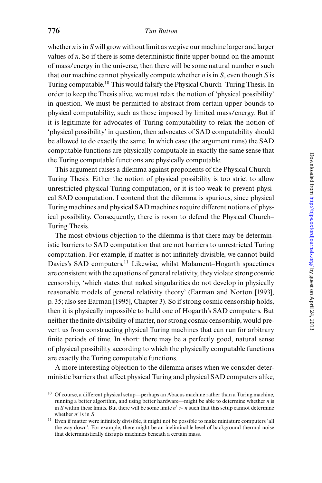whether *n* is in *S* will grow without limit as we give our machine larger and larger values of *n*. So if there is some deterministic finite upper bound on the amount of mass/energy in the universe, then there will be some natural number *n* such that our machine cannot physically compute whether *n* is in *S*, even though *S* is Turing computable.<sup>10</sup> This would falsify the Physical Church–Turing Thesis. In order to keep the Thesis alive, we must relax the notion of 'physical possibility' in question. We must be permitted to abstract from certain upper bounds to physical computability, such as those imposed by limited mass/energy. But if it is legitimate for advocates of Turing computability to relax the notion of 'physical possibility' in question, then advocates of SAD computability should be allowed to do exactly the same. In which case (the argument runs) the SAD computable functions are physically computable in exactly the same sense that the Turing computable functions are physically computable.

This argument raises a dilemma against proponents of the Physical Church– Turing Thesis. Either the notion of physical possibility is too strict to allow unrestricted physical Turing computation, or it is too weak to prevent physical SAD computation. I contend that the dilemma is spurious, since physical Turing machines and physical SAD machines require different notions of physical possibility. Consequently, there is room to defend the Physical Church– Turing Thesis.

The most obvious objection to the dilemma is that there may be deterministic barriers to SAD computation that are not barriers to unrestricted Turing computation. For example, if matter is not infinitely divisible, we cannot build Davies's SAD computers.<sup>11</sup> Likewise, whilst Malament–Hogarth spacetimes are consistent with the equations of general relativity, they violate strong cosmic censorship, 'which states that naked singularities do not develop in physically reasonable models of general relativity theory' (Earman and Norton [1993], p. 35; also see Earman [1995], Chapter 3). So if strong cosmic censorship holds, then it is physically impossible to build one of Hogarth's SAD computers. But neither the finite divisibility of matter, nor strong cosmic censorship, would prevent us from constructing physical Turing machines that can run for arbitrary finite periods of time. In short: there may be a perfectly good, natural sense of physical possibility according to which the physically computable functions are exactly the Turing computable functions.

A more interesting objection to the dilemma arises when we consider deterministic barriers that affect physical Turing and physical SAD computers alike,

<sup>&</sup>lt;sup>10</sup> Of course, a different physical setup—perhaps an Abacus machine rather than a Turing machine, running a better algorithm, and using better hardware—might be able to determine whether *n* is in *S* within these limits. But there will be some finite  $n' > n$  such that this setup cannot determine whether  $n'$  is in  $S$ .

<sup>&</sup>lt;sup>11</sup> Even if matter were infinitely divisible, it might not be possible to make miniature computers 'all the way down'. For example, there might be an ineliminable level of background thermal noise that deterministically disrupts machines beneath a certain mass.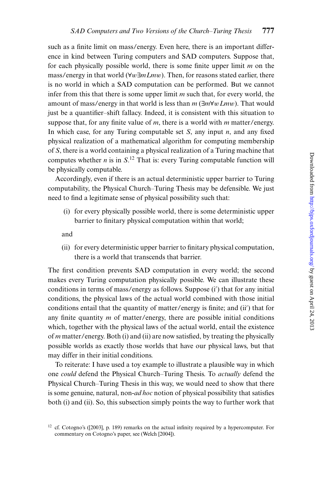such as a finite limit on mass/energy. Even here, there is an important difference in kind between Turing computers and SAD computers. Suppose that, for each physically possible world, there is some finite upper limit *m* on the mass/energy in that world (∀w∃*mLm*w). Then, for reasons stated earlier, there is no world in which a SAD computation can be performed. But we cannot infer from this that there is some upper limit *m* such that, for every world, the amount of mass/energy in that world is less than *m* (∃*m*∀w*Lm*w). That would just be a quantifier–shift fallacy. Indeed, it is consistent with this situation to suppose that, for any finite value of *m*, there is a world with *m* matter/energy. In which case, for any Turing computable set *S*, any input *n*, and any fixed physical realization of a mathematical algorithm for computing membership of *S*, there is a world containing a physical realization of a Turing machine that computes whether  $n$  is in  $S^{12}$ . That is: every Turing computable function will be physically computable.

Accordingly, even if there is an actual deterministic upper barrier to Turing computability, the Physical Church–Turing Thesis may be defensible. We just need to find a legitimate sense of physical possibility such that:

(i) for every physically possible world, there is some deterministic upper barrier to finitary physical computation within that world;

and

(ii) for every deterministic upper barrier to finitary physical computation, there is a world that transcends that barrier.

The first condition prevents SAD computation in every world; the second makes every Turing computation physically possible. We can illustrate these conditions in terms of mass/energy as follows. Suppose (i') that for any initial conditions, the physical laws of the actual world combined with those initial conditions entail that the quantity of matter/energy is finite; and (ii') that for any finite quantity *m* of matter/energy, there are possible initial conditions which, together with the physical laws of the actual world, entail the existence of *m* matter/energy. Both (i) and (ii) are now satisfied, by treating the physically possible worlds as exactly those worlds that have our physical laws, but that may differ in their initial conditions.

To reiterate: I have used a toy example to illustrate a plausible way in which one *could* defend the Physical Church–Turing Thesis. To *actually* defend the Physical Church–Turing Thesis in this way, we would need to show that there is some genuine, natural, non-*ad hoc* notion of physical possibility that satisfies both (i) and (ii). So, this subsection simply points the way to further work that

<sup>&</sup>lt;sup>12</sup> cf. Cotogno's ([2003], p. 189) remarks on the actual infinity required by a hypercomputer. For commentary on Cotogno's paper, see (Welch [2004]).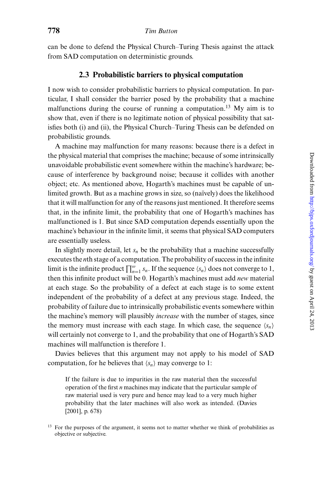can be done to defend the Physical Church–Turing Thesis against the attack from SAD computation on deterministic grounds.

# **2.3 Probabilistic barriers to physical computation**

I now wish to consider probabilistic barriers to physical computation. In particular, I shall consider the barrier posed by the probability that a machine malfunctions during the course of running a computation.<sup>13</sup> My aim is to show that, even if there is no legitimate notion of physical possibility that satisfies both (i) and (ii), the Physical Church–Turing Thesis can be defended on probabilistic grounds.

A machine may malfunction for many reasons: because there is a defect in the physical material that comprises the machine; because of some intrinsically unavoidable probabilistic event somewhere within the machine's hardware; because of interference by background noise; because it collides with another object; etc. As mentioned above, Hogarth's machines must be capable of unlimited growth. But as a machine grows in size, so (naïvely) does the likelihood that it will malfunction for any of the reasons just mentioned. It therefore seems that, in the infinite limit, the probability that one of Hogarth's machines has malfunctioned is 1. But since SAD computation depends essentially upon the machine's behaviour in the infinite limit, it seems that physical SAD computers are essentially useless.

In slightly more detail, let  $s_n$  be the probability that a machine successfully executes the *n*th stage of a computation. The probability of success in the infinite limit is the infinite product  $\prod_{n=1}^{\omega} s_n$ . If the sequence  $\langle s_n \rangle$  does not converge to 1, then this infinite product will be 0. Hogarth's machines must add *new* material at each stage. So the probability of a defect at each stage is to some extent independent of the probability of a defect at any previous stage. Indeed, the probability of failure due to intrinsically probabilistic events somewhere within the machine's memory will plausibly *increase* with the number of stages, since the memory must increase with each stage. In which case, the sequence  $\langle s_n \rangle$ will certainly not converge to 1, and the probability that one of Hogarth's SAD machines will malfunction is therefore 1.

Davies believes that this argument may not apply to his model of SAD computation, for he believes that  $\langle s_n \rangle$  may converge to 1:

If the failure is due to impurities in the raw material then the successful operation of the first *n* machines may indicate that the particular sample of raw material used is very pure and hence may lead to a very much higher probability that the later machines will also work as intended. (Davies [2001], p. 678)

<sup>&</sup>lt;sup>13</sup> For the purposes of the argument, it seems not to matter whether we think of probabilities as objective or subjective.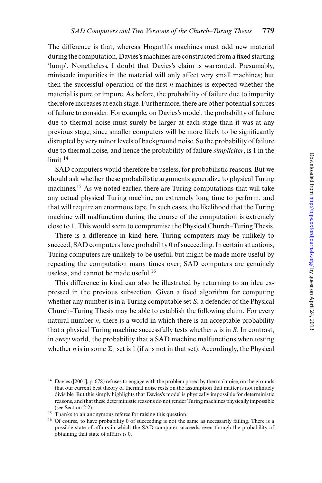The difference is that, whereas Hogarth's machines must add new material during the computation, Davies's machines are constructed from a fixed starting 'lump'. Nonetheless, I doubt that Davies's claim is warranted. Presumably, miniscule impurities in the material will only affect very small machines; but then the successful operation of the first *n* machines is expected whether the material is pure or impure. As before, the probability of failure due to impurity therefore increases at each stage. Furthermore, there are other potential sources of failure to consider. For example, on Davies's model, the probability of failure due to thermal noise must surely be larger at each stage than it was at any previous stage, since smaller computers will be more likely to be significantly disrupted by very minor levels of background noise. So the probability of failure due to thermal noise, and hence the probability of failure *simpliciter*, is 1 in the limit.<sup>14</sup>

SAD computers would therefore be useless, for probabilistic reasons. But we should ask whether these probabilistic arguments generalize to physical Turing machines.<sup>15</sup> As we noted earlier, there are Turing computations that will take any actual physical Turing machine an extremely long time to perform, and that will require an enormous tape. In such cases, the likelihood that the Turing machine will malfunction during the course of the computation is extremely close to 1. This would seem to compromise the Physical Church–Turing Thesis.

There is a difference in kind here. Turing computers may be unlikely to succeed; SAD computers have probability 0 of succeeding. In certain situations, Turing computers are unlikely to be useful, but might be made more useful by repeating the computation many times over; SAD computers are genuinely useless, and cannot be made useful.<sup>16</sup>

This difference in kind can also be illustrated by returning to an idea expressed in the previous subsection. Given a fixed algorithm for computing whether any number is in a Turing computable set *S*, a defender of the Physical Church–Turing Thesis may be able to establish the following claim. For every natural number  $n$ , there is a world in which there is an acceptable probability that a physical Turing machine successfully tests whether *n* is in *S*. In contrast, in *every* world, the probability that a SAD machine malfunctions when testing whether *n* is in some  $\Sigma_1$  set is 1 (if *n* is not in that set). Accordingly, the Physical

 $14$  Davies ([2001], p. 678) refuses to engage with the problem posed by thermal noise, on the grounds that our current best theory of thermal noise rests on the assumption that matter is not infinitely divisible. But this simply highlights that Davies's model is physically impossible for deterministic reasons, and that these deterministic reasons do not render Turing machines physically impossible (see Section 2.2).

<sup>&</sup>lt;sup>15</sup> Thanks to an anonymous referee for raising this question.

<sup>&</sup>lt;sup>16</sup> Of course, to have probability 0 of succeeding is not the same as necessarily failing. There is a possible state of affairs in which the SAD computer succeeds, even though the probability of obtaining that state of affairs is 0.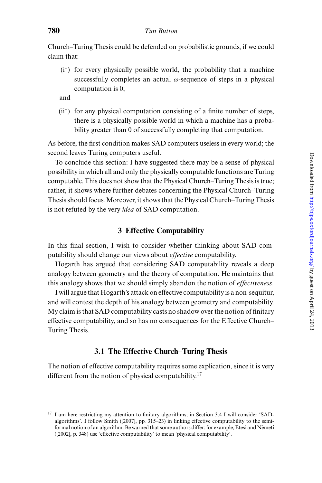Church–Turing Thesis could be defended on probabilistic grounds, if we could claim that:

(i<sup>∗</sup>) for every physically possible world, the probability that a machine successfully completes an actual  $\omega$ -sequence of steps in a physical computation is 0;

and

(ii<sup>∗</sup>) for any physical computation consisting of a finite number of steps, there is a physically possible world in which a machine has a probability greater than 0 of successfully completing that computation.

As before, the first condition makes SAD computers useless in every world; the second leaves Turing computers useful.

To conclude this section: I have suggested there may be a sense of physical possibility in which all and only the physically computable functions are Turing computable. This does not show that the Physical Church–Turing Thesis is true; rather, it shows where further debates concerning the Physical Church–Turing Thesis should focus.Moreover, it shows that the Physical Church–Turing Thesis is not refuted by the very *idea* of SAD computation.

# **3 Effective Computability**

In this final section, I wish to consider whether thinking about SAD computability should change our views about *effective* computability.

Hogarth has argued that considering SAD computability reveals a deep analogy between geometry and the theory of computation. He maintains that this analogy shows that we should simply abandon the notion of *effectiveness*.

I will argue that Hogarth's attack on effective computability is a non-sequitur, and will contest the depth of his analogy between geometry and computability. My claim is that SAD computability casts no shadow over the notion of finitary effective computability, and so has no consequences for the Effective Church– Turing Thesis.

# **3.1 The Effective Church–Turing Thesis**

The notion of effective computability requires some explication, since it is very different from the notion of physical computability.<sup>17</sup>

<sup>&</sup>lt;sup>17</sup> I am here restricting my attention to finitary algorithms; in Section 3.4 I will consider 'SADalgorithms'. I follow Smith ([2007], pp. 315–23) in linking effective computability to the semiformal notion of an algorithm. Be warned that some authors differ: for example, Etesi and Németi ([2002], p. 348) use 'effective computability' to mean 'physical computability'.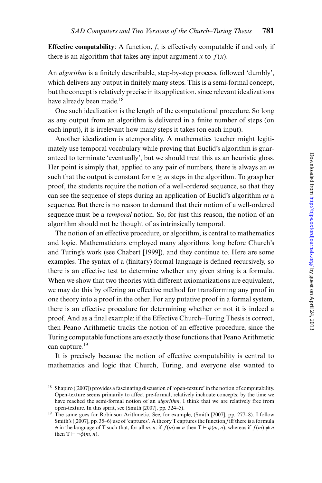**Effective computability**: A function, *f*, is effectively computable if and only if there is an algorithm that takes any input argument *x* to  $f(x)$ .

An *algorithm* is a finitely describable, step-by-step process, followed 'dumbly', which delivers any output in finitely many steps. This is a semi-formal concept, but the concept is relatively precise in its application, since relevant idealizations have already been made.<sup>18</sup>

One such idealization is the length of the computational procedure. So long as any output from an algorithm is delivered in a finite number of steps (on each input), it is irrelevant how many steps it takes (on each input).

Another idealization is atemporality. A mathematics teacher might legitimately use temporal vocabulary while proving that Euclid's algorithm is guaranteed to terminate 'eventually', but we should treat this as an heuristic gloss. Her point is simply that, applied to any pair of numbers, there is always an *m* such that the output is constant for  $n > m$  steps in the algorithm. To grasp her proof, the students require the notion of a well-ordered sequence, so that they can see the sequence of steps during an application of Euclid's algorithm *as* a sequence. But there is no reason to demand that their notion of a well-ordered sequence must be a *temporal* notion. So, for just this reason, the notion of an algorithm should not be thought of as intrinsically temporal.

The notion of an effective procedure, or algorithm, is central to mathematics and logic. Mathematicians employed many algorithms long before Church's and Turing's work (see Chabert [1999]), and they continue to. Here are some examples. The syntax of a (finitary) formal language is defined recursively, so there is an effective test to determine whether any given string is a formula. When we show that two theories with different axiomatizations are equivalent, we may do this by offering an effective method for transforming any proof in one theory into a proof in the other. For any putative proof in a formal system, there is an effective procedure for determining whether or not it is indeed a proof. And as a final example: if the Effective Church–Turing Thesis is correct, then Peano Arithmetic tracks the notion of an effective procedure, since the Turing computable functions are exactly those functions that Peano Arithmetic can capture.<sup>19</sup>

It is precisely because the notion of effective computability is central to mathematics and logic that Church, Turing, and everyone else wanted to

<sup>18</sup> Shapiro ([2007]) provides a fascinating discussion of 'open-texture' in the notion of computability. Open-texture seems primarily to affect pre-formal, relatively inchoate concepts; by the time we have reached the semi-formal notion of an *algorithm*, I think that we are relatively free from open-texture. In this spirit, see (Smith [2007], pp. 324–5).

<sup>19</sup> The same goes for Robinson Arithmetic. See, for example, (Smith [2007], pp. 277–8). I follow Smith's ([2007], pp. 35–6) use of 'captures'. A theory T captures the function *f* iff there is a formula  $\phi$  in the language of T such that, for all *m*, *n*: if  $f(m) = n$  then  $T \vdash \phi(m, n)$ , whereas if  $f(m) \neq n$ then  $T \vdash \neg \phi(m, n)$ .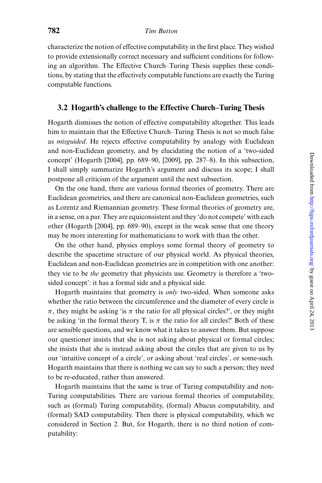characterize the notion of effective computability in the first place. They wished to provide extensionally correct necessary and sufficient conditions for following an algorithm. The Effective Church–Turing Thesis supplies these conditions, by stating that the effectively computable functions are exactly the Turing computable functions.

## **3.2 Hogarth's challenge to the Effective Church–Turing Thesis**

Hogarth dismisses the notion of effective computability altogether. This leads him to maintain that the Effective Church–Turing Thesis is not so much false as *misguided*. He rejects effective computability by analogy with Euclidean and non-Euclidean geometry, and by elucidating the notion of a 'two-sided concept' (Hogarth [2004], pp. 689–90, [2009], pp. 287–8). In this subsection, I shall simply summarize Hogarth's argument and discuss its scope; I shall postpone all criticism of the argument until the next subsection.

On the one hand, there are various formal theories of geometry. There are Euclidean geometries, and there are canonical non-Euclidean geometries, such as Lorentz and Riemannian geometry. These formal theories of geometry are, in a sense, on a par. They are equiconsistent and they 'do not compete' with each other (Hogarth [2004], pp. 689–90), except in the weak sense that one theory may be more interesting for mathematicians to work with than the other.

On the other hand, physics employs some formal theory of geometry to describe the spacetime structure of our physical world. As physical theories, Euclidean and non-Euclidean geometries are in competition with one another: they vie to be *the* geometry that physicists use. Geometry is therefore a 'twosided concept': it has a formal side and a physical side.

Hogarth maintains that geometry is *only* two-sided. When someone asks whether the ratio between the circumference and the diameter of every circle is  $\pi$ , they might be asking 'is  $\pi$  the ratio for all physical circles?', or they might be asking 'in the formal theory T, is  $\pi$  the ratio for all circles?' Both of these are sensible questions, and we know what it takes to answer them. But suppose our questioner insists that she is not asking about physical or formal circles; she insists that she is instead asking about the circles that are given to us by our 'intuitive concept of a circle', or asking about 'real circles', or some-such. Hogarth maintains that there is nothing we can say to such a person; they need to be re-educated, rather than answered.

Hogarth maintains that the same is true of Turing computability and non-Turing computabilities. There are various formal theories of computability, such as (formal) Turing computability, (formal) Abacus computability, and (formal) SAD computability. Then there is physical computability, which we considered in Section 2. But, for Hogarth, there is no third notion of computability: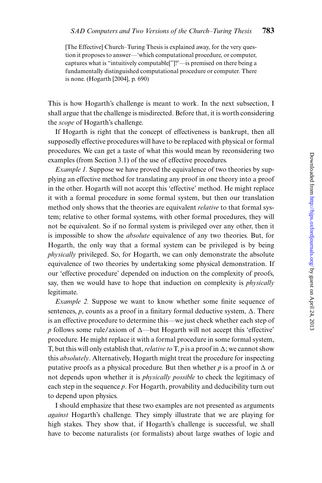[The Effective] Church–Turing Thesis is explained away, for the very question it proposes to answer—'which computational procedure, or computer, captures what is "intuitively computable["]?'—is premised on there being a fundamentally distinguished computational procedure or computer. There is none. (Hogarth [2004], p. 690)

This is how Hogarth's challenge is meant to work. In the next subsection, I shall argue that the challenge is misdirected. Before that, it is worth considering the *scope* of Hogarth's challenge.

If Hogarth is right that the concept of effectiveness is bankrupt, then all supposedly effective procedures will have to be replaced with physical or formal procedures. We can get a taste of what this would mean by reconsidering two examples (from Section 3.1) of the use of effective procedures.

*Example 1.* Suppose we have proved the equivalence of two theories by supplying an effective method for translating any proof in one theory into a proof in the other. Hogarth will not accept this 'effective' method. He might replace it with a formal procedure in some formal system, but then our translation method only shows that the theories are equivalent *relative* to that formal system; relative to other formal systems, with other formal procedures, they will not be equivalent. So if no formal system is privileged over any other, then it is impossible to show the *absolute* equivalence of any two theories. But, for Hogarth, the only way that a formal system can be privileged is by being *physically* privileged. So, for Hogarth, we can only demonstrate the absolute equivalence of two theories by undertaking some physical demonstration. If our 'effective procedure' depended on induction on the complexity of proofs, say, then we would have to hope that induction on complexity is *physically* legitimate.

*Example 2.* Suppose we want to know whether some finite sequence of sentences,  $p$ , counts as a proof in a finitary formal deductive system,  $\Delta$ . There is an effective procedure to determine this—we just check whether each step of *p* follows some rule/axiom of  $\Delta$ —but Hogarth will not accept this 'effective' procedure. He might replace it with a formal procedure in some formal system, T, but this will only establish that, *relative to* T, *p* is a proof in  $\Delta$ ; we cannot show this *absolutely*. Alternatively, Hogarth might treat the procedure for inspecting putative proofs as a physical procedure. But then whether *p* is a proof in  $\Delta$  or not depends upon whether it is *physically possible* to check the legitimacy of each step in the sequence *p*. For Hogarth, provability and deducibility turn out to depend upon physics.

I should emphasize that these two examples are not presented as arguments *against* Hogarth's challenge. They simply illustrate that we are playing for high stakes. They show that, if Hogarth's challenge is successful, we shall have to become naturalists (or formalists) about large swathes of logic and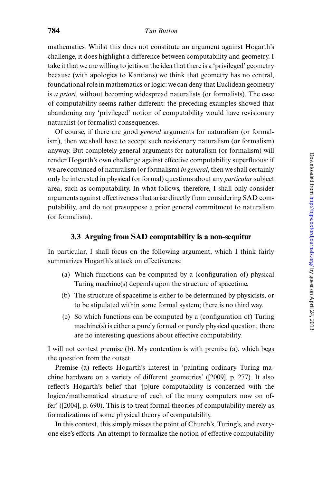mathematics. Whilst this does not constitute an argument against Hogarth's challenge, it does highlight a difference between computability and geometry. I take it that we are willing to jettison the idea that there is a 'privileged' geometry because (with apologies to Kantians) we think that geometry has no central, foundational role in mathematics or logic: we can deny that Euclidean geometry is *a priori*, without becoming widespread naturalists (or formalists). The case of computability seems rather different: the preceding examples showed that abandoning any 'privileged' notion of computability would have revisionary naturalist (or formalist) consequences.

Of course, if there are good *general* arguments for naturalism (or formalism), then we shall have to accept such revisionary naturalism (or formalism) anyway. But completely general arguments for naturalism (or formalism) will render Hogarth's own challenge against effective computability superfluous: if we are convinced of naturalism (or formalism) *in general*, then we shall certainly only be interested in physical (or formal) questions about any *particular* subject area, such as computability. In what follows, therefore, I shall only consider arguments against effectiveness that arise directly from considering SAD computability, and do not presuppose a prior general commitment to naturalism (or formalism).

# **3.3 Arguing from SAD computability is a non-sequitur**

In particular, I shall focus on the following argument, which I think fairly summarizes Hogarth's attack on effectiveness:

- (a) Which functions can be computed by a (configuration of) physical Turing machine(s) depends upon the structure of spacetime.
- (b) The structure of spacetime is either to be determined by physicists, or to be stipulated within some formal system; there is no third way.
- (c) So which functions can be computed by a (configuration of) Turing machine(s) is either a purely formal or purely physical question; there are no interesting questions about effective computability.

I will not contest premise (b). My contention is with premise (a), which begs the question from the outset.

Premise (a) reflects Hogarth's interest in 'painting ordinary Turing machine hardware on a variety of different geometries' ([2009], p. 277). It also reflect's Hogarth's belief that '[p]ure computability is concerned with the logico/mathematical structure of each of the many computers now on offer' ([2004], p. 690). This is to treat formal theories of computability merely as formalizations of some physical theory of computability.

In this context, this simply misses the point of Church's, Turing's, and everyone else's efforts. An attempt to formalize the notion of effective computability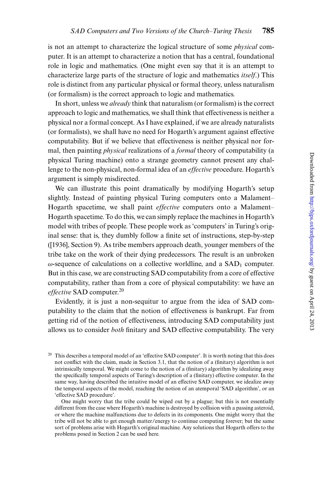is not an attempt to characterize the logical structure of some *physical* computer. It is an attempt to characterize a notion that has a central, foundational role in logic and mathematics. (One might even say that it is an attempt to characterize large parts of the structure of logic and mathematics *itself*.) This role is distinct from any particular physical or formal theory, unless naturalism (or formalism) is the correct approach to logic and mathematics.

In short, unless we *already* think that naturalism (or formalism) is the correct approach to logic and mathematics, we shall think that effectiveness is neither a physical nor a formal concept. As I have explained, if we are already naturalists (or formalists), we shall have no need for Hogarth's argument against effective computability. But if we believe that effectiveness is neither physical nor formal, then painting *physical* realizations of a *formal* theory of computability (a physical Turing machine) onto a strange geometry cannot present any challenge to the non-physical, non-formal idea of an *effective* procedure. Hogarth's argument is simply misdirected.

We can illustrate this point dramatically by modifying Hogarth's setup slightly. Instead of painting physical Turing computers onto a Malament– Hogarth spacetime, we shall paint *effective* computers onto a Malament– Hogarth spacetime. To do this, we can simply replace the machines in Hogarth's model with tribes of people. These people work as 'computers' in Turing's original sense: that is, they dumbly follow a finite set of instructions, step-by-step ([1936], Section 9). As tribe members approach death, younger members of the tribe take on the work of their dying predecessors. The result is an unbroken  $\omega$ -sequence of calculations on a collective worldline, and a SAD<sub>1</sub> computer. But in this case, we are constructing SAD computability from a core of effective computability, rather than from a core of physical computability: we have an *effective* SAD computer.<sup>20</sup>

Evidently, it is just a non-sequitur to argue from the idea of SAD computability to the claim that the notion of effectiveness is bankrupt. Far from getting rid of the notion of effectiveness, introducing SAD computability just allows us to consider *both* finitary and SAD effective computability. The very

One might worry that the tribe could be wiped out by a plague; but this is not essentially different from the case where Hogarth's machine is destroyed by collision with a passing asteroid, or where the machine malfunctions due to defects in its components. One might worry that the tribe will not be able to get enough matter/energy to continue computing forever; but the same sort of problems arise with Hogarth's original machine. Any solutions that Hogarth offers to the problems posed in Section 2 can be used here.

<sup>&</sup>lt;sup>20</sup> This describes a temporal model of an 'effective SAD computer'. It is worth noting that this does not conflict with the claim, made in Section 3.1, that the notion of a (finitary) algorithm is not intrinsically temporal. We might come to the notion of a (finitary) algorithm by idealizing away the specifically temporal aspects of Turing's description of a (finitary) effective computer. In the same way, having described the intuitive model of an effective SAD computer, we idealize away the temporal aspects of the model, reaching the notion of an atemporal 'SAD algorithm', or an 'effective SAD procedure'.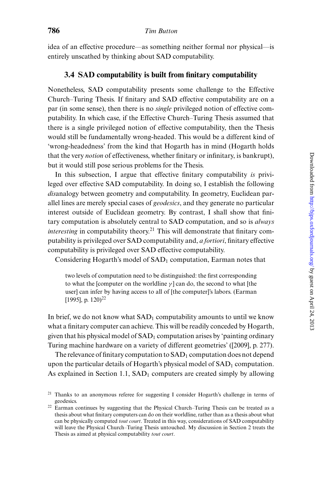idea of an effective procedure—as something neither formal nor physical—is entirely unscathed by thinking about SAD computability.

## **3.4 SAD computability is built from finitary computability**

Nonetheless, SAD computability presents some challenge to the Effective Church–Turing Thesis. If finitary and SAD effective computability are on a par (in some sense), then there is no *single* privileged notion of effective computability. In which case, if the Effective Church–Turing Thesis assumed that there is a single privileged notion of effective computability, then the Thesis would still be fundamentally wrong-headed. This would be a different kind of 'wrong-headedness' from the kind that Hogarth has in mind (Hogarth holds that the very *notion* of effectiveness, whether finitary or infinitary, is bankrupt), but it would still pose serious problems for the Thesis.

In this subsection, I argue that effective finitary computability *is* privileged over effective SAD computability. In doing so, I establish the following *dis*analogy between geometry and computability. In geometry, Euclidean parallel lines are merely special cases of *geodesics*, and they generate no particular interest outside of Euclidean geometry. By contrast, I shall show that finitary computation is absolutely central to SAD computation, and so is *always interesting* in computability theory.<sup>21</sup> This will demonstrate that finitary computability is privileged over SAD computability and, *a fortiori*, finitary effective computability is privileged over SAD effective computability.

Considering Hogarth's model of  $SAD<sub>1</sub>$  computation, Earman notes that

two levels of computation need to be distinguished: the first corresponding to what the [computer on the worldline  $\gamma$ ] can do, the second to what [the user] can infer by having access to all of [the computer]'s labors. (Earman [1995], p.  $120$ <sup>22</sup>

In brief, we do not know what  $SAD_1$  computability amounts to until we know what a finitary computer can achieve. This will be readily conceded by Hogarth, given that his physical model of  $SAD_1$  computation arises by 'painting ordinary Turing machine hardware on a variety of different geometries' ([2009], p. 277).

The relevance of finitary computation to  $SAD<sub>1</sub>$  computation does not depend upon the particular details of Hogarth's physical model of  $SAD<sub>1</sub>$  computation. As explained in Section 1.1,  $SAD_1$  computers are created simply by allowing

<sup>21</sup> Thanks to an anonymous referee for suggesting I consider Hogarth's challenge in terms of geodesics.

<sup>&</sup>lt;sup>22</sup> Earman continues by suggesting that the Physical Church–Turing Thesis can be treated as a thesis about what finitary computers can do on their worldline, rather than as a thesis about what can be physically computed *tout court*. Treated in this way, considerations of SAD computability will leave the Physical Church–Turing Thesis untouched. My discussion in Section 2 treats the Thesis as aimed at physical computability *tout court*.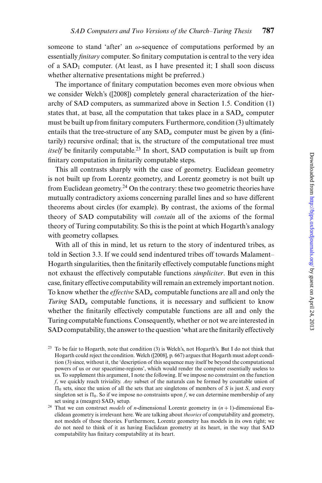someone to stand 'after' an  $\omega$ -sequence of computations performed by an essentially *finitary* computer. So finitary computation is central to the very idea of a  $SAD_1$  computer. (At least, as I have presented it; I shall soon discuss whether alternative presentations might be preferred.)

The importance of finitary computation becomes even more obvious when we consider Welch's ([2008]) completely general characterization of the hierarchy of SAD computers, as summarized above in Section 1.5. Condition (1) states that, at base, all the computation that takes place in a  $SAD_{\alpha}$  computer must be built up from finitary computers. Furthermore, condition (3) ultimately entails that the tree-structure of any  $SAD_{\alpha}$  computer must be given by a (finitarily) recursive ordinal; that is, the structure of the computational tree must *itself* be finitarily computable.<sup>23</sup> In short, SAD computation is built up from finitary computation in finitarily computable steps.

This all contrasts sharply with the case of geometry. Euclidean geometry is not built up from Lorentz geometry, and Lorentz geometry is not built up from Euclidean geometry.<sup>24</sup> On the contrary: these two geometric theories have mutually contradictory axioms concerning parallel lines and so have different theorems about circles (for example). By contrast, the axioms of the formal theory of SAD computability will *contain* all of the axioms of the formal theory of Turing computability. So this is the point at which Hogarth's analogy with geometry collapses.

With all of this in mind, let us return to the story of indentured tribes, as told in Section 3.3. If we could send indentured tribes off towards Malament– Hogarth singularities, then the finitarily effectively computable functions might not exhaust the effectively computable functions *simpliciter*. But even in this case, finitary effective computability will remain an extremely important notion. To know whether the *effective*  $SAD_\alpha$  computable functions are all and only the *Turing*  $SAD_{\alpha}$  computable functions, it is necessary and sufficient to know whether the finitarily effectively computable functions are all and only the Turing computable functions. Consequently, whether or not we are interested in SAD computability, the answer to the question 'what are the finitarily effectively

<sup>&</sup>lt;sup>23</sup> To be fair to Hogarth, note that condition (3) is Welch's, not Hogarth's. But I do not think that Hogarth could reject the condition. Welch ([2008], p. 667) argues that Hogarth must adopt condition (3) since, without it, the 'description of this sequence may itself be beyond the computational powers of us or our spacetime-regions', which would render the computer essentially useless to us. To supplement this argument, I note the following. If we impose no constraint on the function *f*, we quickly reach triviality. *Any* subset of the naturals can be formed by countable union of  $\Pi_0$  sets, since the union of all the sets that are singletons of members of *S* is just *S*, and every singleton set is  $\Pi_0$ . So if we impose no constraints upon *f*, we can determine membership of any set using a (meagre) SAD<sub>1</sub> setup.

<sup>&</sup>lt;sup>24</sup> That we can construct *models* of *n*-dimensional Lorentz geometry in  $(n + 1)$ -dimensional Euclidean geometry is irrelevant here. We are talking about *theories* of computability and geometry, not models of those theories. Furthermore, Lorentz geometry has models in its own right; we do not need to think of it as having Euclidean geometry at its heart, in the way that SAD computability has finitary computability at its heart.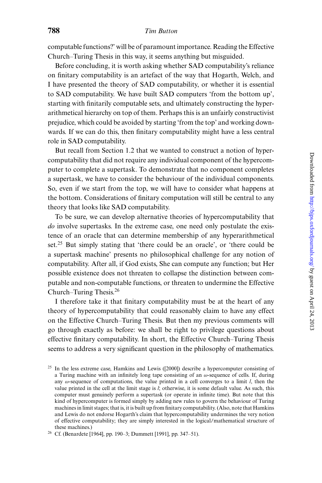computable functions?' will be of paramount importance. Reading the Effective Church–Turing Thesis in this way, it seems anything but misguided.

Before concluding, it is worth asking whether SAD computability's reliance on finitary computability is an artefact of the way that Hogarth, Welch, and I have presented the theory of SAD computability, or whether it is essential to SAD computability. We have built SAD computers 'from the bottom up', starting with finitarily computable sets, and ultimately constructing the hyperarithmetical hierarchy on top of them. Perhaps this is an unfairly constructivist prejudice, which could be avoided by starting 'from the top' and working downwards. If we can do this, then finitary computability might have a less central role in SAD computability.

But recall from Section 1.2 that we wanted to construct a notion of hypercomputability that did not require any individual component of the hypercomputer to complete a supertask. To demonstrate that no component completes a supertask, we have to consider the behaviour of the individual components. So, even if we start from the top, we will have to consider what happens at the bottom. Considerations of finitary computation will still be central to any theory that looks like SAD computability.

To be sure, we can develop alternative theories of hypercomputability that *do* involve supertasks. In the extreme case, one need only postulate the existence of an oracle that can determine membership of any hyperarithmetical set.<sup>25</sup> But simply stating that 'there could be an oracle', or 'there could be a supertask machine' presents no philosophical challenge for any notion of computability. After all, if God exists, She can compute any function; but Her possible existence does not threaten to collapse the distinction between computable and non-computable functions, or threaten to undermine the Effective Church–Turing Thesis.<sup>26</sup>

I therefore take it that finitary computability must be at the heart of any theory of hypercomputability that could reasonably claim to have any effect on the Effective Church–Turing Thesis. But then my previous comments will go through exactly as before: we shall be right to privilege questions about effective finitary computability. In short, the Effective Church–Turing Thesis seems to address a very significant question in the philosophy of mathematics.

<sup>&</sup>lt;sup>25</sup> In the less extreme case, Hamkins and Lewis ([2000]) describe a hypercomputer consisting of a Turing machine with an infinitely long tape consisting of an  $\omega$ -sequence of cells. If, during any  $\omega$ -sequence of computations, the value printed in a cell converges to a limit *l*, then the value printed in the cell at the limit stage is *l*; otherwise, it is some default value. As such, this computer must genuinely perform a supertask (or operate in infinite time). But note that this kind of hypercomputer is formed simply by adding new rules to govern the behaviour of Turing machines in limit stages; that is, it is built up from finitary computability. (Also, note that Hamkins and Lewis do not endorse Hogarth's claim that hypercomputability undermines the very notion of effective computability; they are simply interested in the logical/mathematical structure of these machines.)

<sup>26</sup> Cf. (Benardete [1964], pp. 190–3; Dummett [1991], pp. 347–51).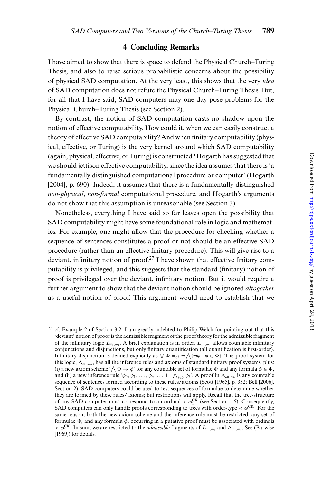#### **4 Concluding Remarks**

I have aimed to show that there is space to defend the Physical Church–Turing Thesis, and also to raise serious probabilistic concerns about the possibility of physical SAD computation. At the very least, this shows that the very *idea* of SAD computation does not refute the Physical Church–Turing Thesis. But, for all that I have said, SAD computers may one day pose problems for the Physical Church–Turing Thesis (see Section 2).

By contrast, the notion of SAD computation casts no shadow upon the notion of effective computability. How could it, when we can easily construct a theory of effective SAD computability? And when finitary computability (physical, effective, or Turing) is the very kernel around which SAD computability (again, physical, effective, or Turing) is constructed? Hogarth has suggested that we should jettison effective computability, since the idea assumes that there is 'a fundamentally distinguished computational procedure or computer' (Hogarth [2004], p. 690). Indeed, it assumes that there is a fundamentally distinguished *non-physical*, *non-formal* computational procedure, and Hogarth's arguments do not show that this assumption is unreasonable (see Section 3).

Nonetheless, everything I have said so far leaves open the possibility that SAD computability might have some foundational role in logic and mathematics. For example, one might allow that the procedure for checking whether a sequence of sentences constitutes a proof or not should be an effective SAD procedure (rather than an effective finitary procedure). This will give rise to a deviant, infinitary notion of proof.<sup>27</sup> I have shown that effective finitary computability is privileged, and this suggests that the standard (finitary) notion of proof is privileged over the deviant, infinitary notion. But it would require a further argument to show that the deviant notion should be ignored *altogether* as a useful notion of proof. This argument would need to establish that we

 $27$  cf. Example 2 of Section 3.2. I am greatly indebted to Philip Welch for pointing out that this 'deviant' notion of proof is the admissible fragment of the proof theory for the admissible fragment of the infinitary logic  $L_{\omega_1,\omega_0}$ . A brief explanation is in order.  $L_{\omega_1,\omega_0}$  allows countable infinitary conjunctions and disjunctions, but only finitary quantification (all quantification is first-order). Infinitary disjunction is defined explicitly as  $\forall \Phi =_{df} \neg \bigwedge \{\neg \phi : \phi \in \Phi\}$ . The proof system for this logic,  $\Delta_{\omega_1,\omega_0}$ , has all the inference rules and axioms of standard finitary proof systems, plus: (i) a new axiom scheme ' $\wedge \Phi \rightarrow \phi$ ' for any countable set of formulae  $\Phi$  and any formula  $\phi \in \Phi$ , and (ii) a new inference rule ' $\phi_0, \phi_1, \ldots, \phi_n, \ldots \vdash \bigwedge_{i \in \mathbb{N}} \phi_i$ '. A proof in  $\Delta_{\omega_1, \omega_0}$  is any countable sequence of sentences formed according to these rules/axioms (Scott [1965], p. 332; Bell [2006], Section 2). SAD computers could be used to test sequences of formulae to determine whether they are formed by these rules/axioms; but restrictions will apply. Recall that the tree-structure of any SAD computer must correspond to an ordinal  $\langle \omega_1^{\text{CK}} \rangle$  (see Section 1.5). Consequently, SAD computers can only handle proofs corresponding to trees with order-type  $\langle \omega_1^{\text{CK}} \rangle$ . For the same reason, both the new axiom scheme and the inference rule must be restricted: any set of formulae  $\Phi$ , and any formula  $\phi$ , occurring in a putative proof must be associated with ordinals  $<\omega_1^{\text{CK}}$ . In sum, we are restricted to the *admissible* fragments of  $L_{\omega_1,\omega_0}$  and  $\Delta_{\omega_1,\omega_0}$ . See (Barwise [1969]) for details.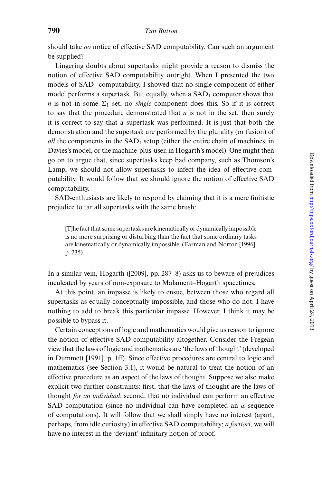should take *no* notice of effective SAD computability. Can such an argument be supplied?

Lingering doubts about supertasks might provide a reason to dismiss the notion of effective SAD computability outright. When I presented the two models of  $SAD_1$  computability, I showed that no single component of either model performs a supertask. But equally, when a  $SAD_1$  computer shows that *n* is not in some  $\Sigma_1$  set, no *single* component does this. So if it is correct to say that the procedure demonstrated that *n* is not in the set, then surely it is correct to say that a supertask was performed. It is just that both the demonstration and the supertask are performed by the plurality (or fusion) of *all* the components in the  $SAD_1$  setup (either the entire chain of machines, in Davies's model, or the machine-plus-user, in Hogarth's model). One might then go on to argue that, since supertasks keep bad company, such as Thomson's Lamp, we should not allow supertasks to infect the idea of effective computability. It would follow that we should ignore the notion of effective SAD computability.

SAD-enthusiasts are likely to respond by claiming that it is a mere finitistic prejudice to tar all supertasks with the same brush:

[T]he fact that some supertasks are kinematically or dynamically impossible is no more surprising or disturbing than the fact that some ordinary tasks are kinematically or dynamically impossible. (Earman and Norton [1996], p. 235)

In a similar vein, Hogarth ([2009], pp. 287–8) asks us to beware of prejudices inculcated by years of non-exposure to Malament–Hogarth spacetimes.

At this point, an impasse is likely to ensue, between those who regard all supertasks as equally conceptually impossible, and those who do not. I have nothing to add to break this particular impasse. However, I think it may be possible to bypass it.

Certain conceptions of logic and mathematics would give us reason to ignore the notion of effective SAD computability altogether. Consider the Fregean view that the laws of logic and mathematics are 'the laws of thought' (developed in Dummett [1991], p. 1ff). Since effective procedures are central to logic and mathematics (see Section 3.1), it would be natural to treat the notion of an effective procedure as an aspect of the laws of thought. Suppose we also make explicit two further constraints: first, that the laws of thought are the laws of thought *for an individual*; second, that no individual can perform an effective SAD computation (since no individual can have completed an  $\omega$ -sequence of computations). It will follow that we shall simply have no interest (apart, perhaps, from idle curiosity) in effective SAD computability; *a fortiori*, we will have no interest in the 'deviant' infinitary notion of proof.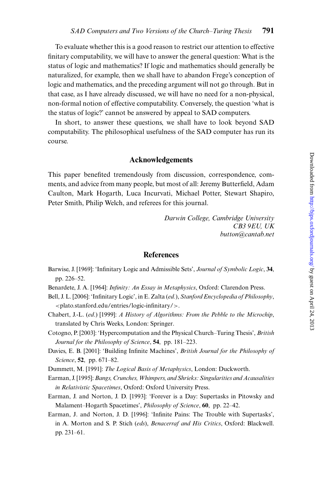To evaluate whether this is a good reason to restrict our attention to effective finitary computability, we will have to answer the general question: What is the status of logic and mathematics? If logic and mathematics should generally be naturalized, for example, then we shall have to abandon Frege's conception of logic and mathematics, and the preceding argument will not go through. But in that case, as I have already discussed, we will have no need for a non-physical, non-formal notion of effective computability. Conversely, the question 'what is the status of logic?' cannot be answered by appeal to SAD computers.

In short, to answer these questions, we shall have to look beyond SAD computability. The philosophical usefulness of the SAD computer has run its course.

## **Acknowledgements**

This paper benefited tremendously from discussion, correspondence, comments, and advice from many people, but most of all: Jeremy Butterfield, Adam Caulton, Mark Hogarth, Luca Incurvati, Michael Potter, Stewart Shapiro, Peter Smith, Philip Welch, and referees for this journal.

> *Darwin College, Cambridge University CB3 9EU, UK button@cantab.net*

# **References**

- Barwise, J. [1969]: 'Infinitary Logic and Admissible Sets', *Journal of Symbolic Logic*, **34**, pp. 226–52.
- Benardete, J. A. [1964]: *Infinity: An Essay in Metaphysics*, Oxford: Clarendon Press.
- Bell, J. L. [2006]: 'Infinitary Logic', in E. Zalta (*ed.*), *Stanford Encyclopedia of Philosophy*, <plato.stanford.edu/entries/logic-infinitary/>.
- Chabert, J.-L. (*ed*.) [1999]: *A History of Algorithms: From the Pebble to the Microchip*, translated by Chris Weeks, London: Springer.
- Cotogno, P. [2003]: 'Hypercomputation and the Physical Church–Turing Thesis', *British Journal for the Philosophy of Science*, **54**, pp. 181–223.
- Davies, E. B. [2001]: 'Building Infinite Machines', *British Journal for the Philosophy of Science*, **52**, pp. 671–82.

Dummett, M. [1991]: *The Logical Basis of Metaphysics*, London: Duckworth.

- Earman, J. [1995]:*Bangs, Crunches,Whimpers, and Shrieks: Singularities and Acausalities in Relativistic Spacetimes*, Oxford: Oxford University Press.
- Earman, J. and Norton, J. D. [1993]: 'Forever is a Day: Supertasks in Pitowsky and Malament–Hogarth Spacetimes', *Philosophy of Science*, **60**, pp. 22–42.
- Earman, J. and Norton, J. D. [1996]: 'Infinite Pains: The Trouble with Supertasks', in A. Morton and S. P. Stich (*eds*), *Benacerraf and His Critics*, Oxford: Blackwell. pp. 231–61.